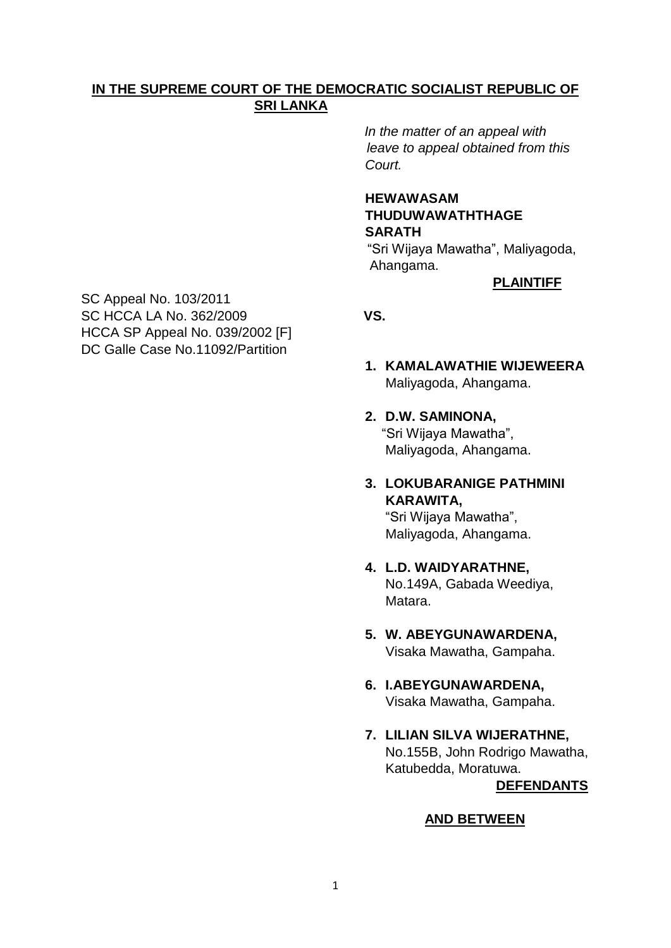# **IN THE SUPREME COURT OF THE DEMOCRATIC SOCIALIST REPUBLIC OF SRI LANKA**

 *In the matter of an appeal with leave to appeal obtained from this Court.* 

# **HEWAWASAM THUDUWAWATHTHAGE SARATH**

 "Sri Wijaya Mawatha", Maliyagoda, Ahangama.

# **PLAINTIFF**

SC Appeal No. 103/2011 SC HCCA LA No. 362/2009 **VS.** HCCA SP Appeal No. 039/2002 [F] DC Galle Case No.11092/Partition

- **1. KAMALAWATHIE WIJEWEERA** Maliyagoda, Ahangama.
- **2. D.W. SAMINONA,** "Sri Wijaya Mawatha", Maliyagoda, Ahangama.
- **3. LOKUBARANIGE PATHMINI KARAWITA,** "Sri Wijaya Mawatha",

Maliyagoda, Ahangama.

- **4. L.D. WAIDYARATHNE,** No.149A, Gabada Weediya, Matara.
	- **5. W. ABEYGUNAWARDENA,** Visaka Mawatha, Gampaha.
	- **6. I.ABEYGUNAWARDENA,** Visaka Mawatha, Gampaha.
	- **7. LILIAN SILVA WIJERATHNE,** No.155B, John Rodrigo Mawatha, Katubedda, Moratuwa.  **DEFENDANTS**

# **AND BETWEEN**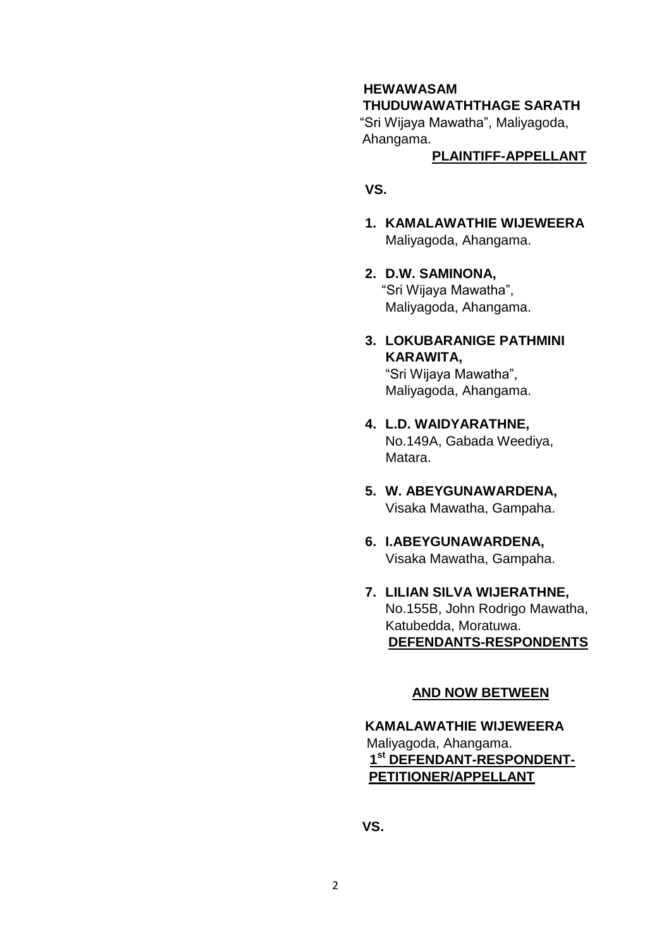# **HEWAWASAM**

# **THUDUWAWATHTHAGE SARATH**

 "Sri Wijaya Mawatha", Maliyagoda, Ahangama.

### **PLAINTIFF-APPELLANT**

# **VS.**

- **1. KAMALAWATHIE WIJEWEERA** Maliyagoda, Ahangama.
- **2. D.W. SAMINONA,** "Sri Wijaya Mawatha", Maliyagoda, Ahangama.
- **3. LOKUBARANIGE PATHMINI KARAWITA,**

"Sri Wijaya Mawatha", Maliyagoda, Ahangama.

- **4. L.D. WAIDYARATHNE,** No.149A, Gabada Weediya, Matara.
- **5. W. ABEYGUNAWARDENA,** Visaka Mawatha, Gampaha.
- **6. I.ABEYGUNAWARDENA,** Visaka Mawatha, Gampaha.
- **7. LILIAN SILVA WIJERATHNE,** No.155B, John Rodrigo Mawatha, Katubedda, Moratuwa.  **DEFENDANTS-RESPONDENTS**

#### **AND NOW BETWEEN**

**KAMALAWATHIE WIJEWEERA** Maliyagoda, Ahangama. **1 1 1 1 1 1 1 1 1 st DEFENDANT-RESPONDENT-PETITIONER/APPELLANT**

 **VS.**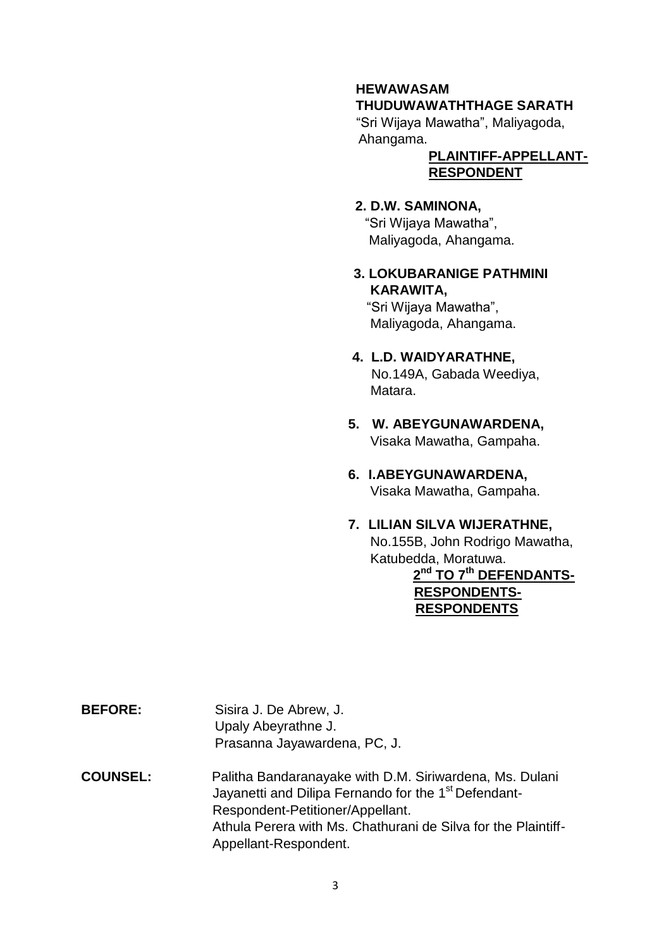# **HEWAWASAM THUDUWAWATHTHAGE SARATH**

 "Sri Wijaya Mawatha", Maliyagoda, Ahangama.

## **PLAINTIFF-APPELLANT-RESPONDENT**

# **2. D.W. SAMINONA,**

"Sri Wijaya Mawatha", Maliyagoda, Ahangama.

**3. LOKUBARANIGE PATHMINI KARAWITA,** "Sri Wijaya Mawatha",

Maliyagoda, Ahangama.

# **4. L.D. WAIDYARATHNE,**

No.149A, Gabada Weediya, Matara.

- **5. W. ABEYGUNAWARDENA,** Visaka Mawatha, Gampaha.
- **6. I.ABEYGUNAWARDENA,** Visaka Mawatha, Gampaha.

# **7. LILIAN SILVA WIJERATHNE,**

 No.155B, John Rodrigo Mawatha, Katubedda, Moratuwa.

#### **2 nd TO 7th DEFENDANTS- RESPONDENTS- RESPONDENTS**

**BEFORE:** Sisira J. De Abrew, J. Upaly Abeyrathne J. Prasanna Jayawardena, PC, J.

# **COUNSEL:** Palitha Bandaranayake with D.M. Siriwardena, Ms. Dulani Jayanetti and Dilipa Fernando for the 1<sup>st</sup> Defendant- Respondent-Petitioner/Appellant. Athula Perera with Ms. Chathurani de Silva for the Plaintiff- Appellant-Respondent.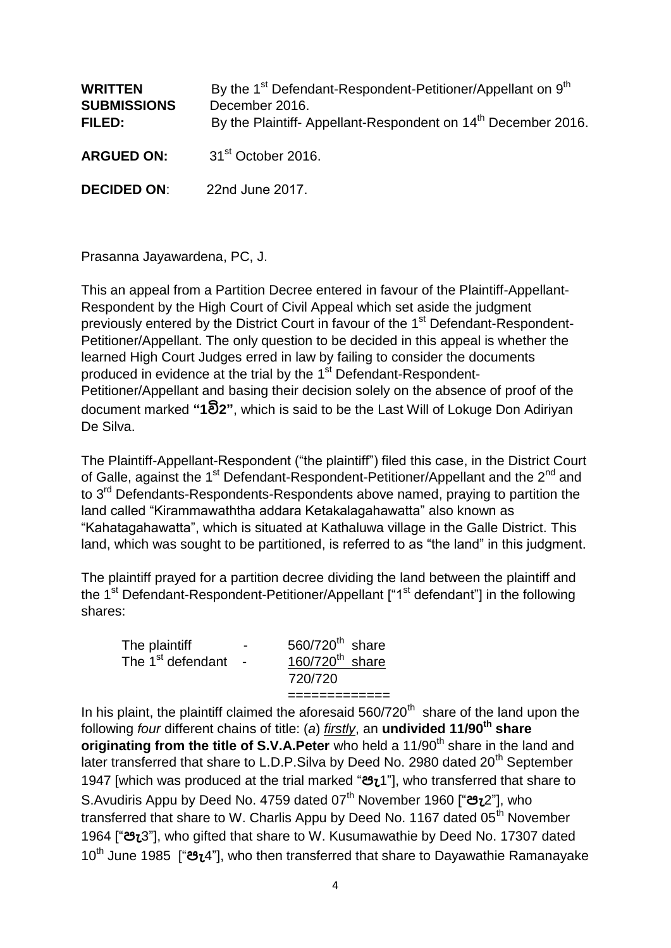| <b>WRITTEN</b><br><b>SUBMISSIONS</b><br>FILED: | By the 1 <sup>st</sup> Defendant-Respondent-Petitioner/Appellant on 9 <sup>th</sup><br>December 2016.<br>By the Plaintiff-Appellant-Respondent on 14 <sup>th</sup> December 2016. |
|------------------------------------------------|-----------------------------------------------------------------------------------------------------------------------------------------------------------------------------------|
| <b>ARGUED ON:</b>                              | 31 <sup>st</sup> October 2016.                                                                                                                                                    |
| <b>DECIDED ON:</b>                             | 22nd June 2017.                                                                                                                                                                   |

Prasanna Jayawardena, PC, J.

This an appeal from a Partition Decree entered in favour of the Plaintiff-Appellant-Respondent by the High Court of Civil Appeal which set aside the judgment previously entered by the District Court in favour of the 1<sup>st</sup> Defendant-Respondent-Petitioner/Appellant. The only question to be decided in this appeal is whether the learned High Court Judges erred in law by failing to consider the documents produced in evidence at the trial by the 1<sup>st</sup> Defendant-Respondent-Petitioner/Appellant and basing their decision solely on the absence of proof of the document marked **"1වි2"**, which is said to be the Last Will of Lokuge Don Adiriyan De Silva.

The Plaintiff-Appellant-Respondent ("the plaintiff") filed this case, in the District Court of Galle, against the 1<sup>st</sup> Defendant-Respondent-Petitioner/Appellant and the  $2^{nd}$  and to 3<sup>rd</sup> Defendants-Respondents-Respondents above named, praying to partition the land called "Kirammawaththa addara Ketakalagahawatta" also known as "Kahatagahawatta", which is situated at Kathaluwa village in the Galle District. This land, which was sought to be partitioned, is referred to as "the land" in this judgment.

The plaintiff prayed for a partition decree dividing the land between the plaintiff and the 1<sup>st</sup> Defendant-Respondent-Petitioner/Appellant ["1<sup>st</sup> defendant"] in the following shares:

| The plaintiff                 | $\overline{\phantom{0}}$ | 560/720 <sup>th</sup> share   |
|-------------------------------|--------------------------|-------------------------------|
| The 1 <sup>st</sup> defendant |                          | $160/720$ <sup>th</sup> share |
|                               |                          | 720/720                       |
|                               |                          |                               |

In his plaint, the plaintiff claimed the aforesaid  $560/720<sup>th</sup>$  share of the land upon the following *four* different chains of title: (*a*) *firstly*, an **undivided 11/90th share originating from the title of S.V.A.Peter** who held a 11/90<sup>th</sup> share in the land and later transferred that share to L.D.P.Silva by Deed No. 2980 dated 20<sup>th</sup> September 1947 [which was produced at the trial marked "**පැ**1"], who transferred that share to S.Avudiris Appu by Deed No. 4759 dated 07th November 1960 ["**පැ**2"], who transferred that share to W. Charlis Appu by Deed No. 1167 dated 05<sup>th</sup> November 1964 ["**පැ**3"], who gifted that share to W. Kusumawathie by Deed No. 17307 dated 10th June 1985 ["**පැ**4"], who then transferred that share to Dayawathie Ramanayake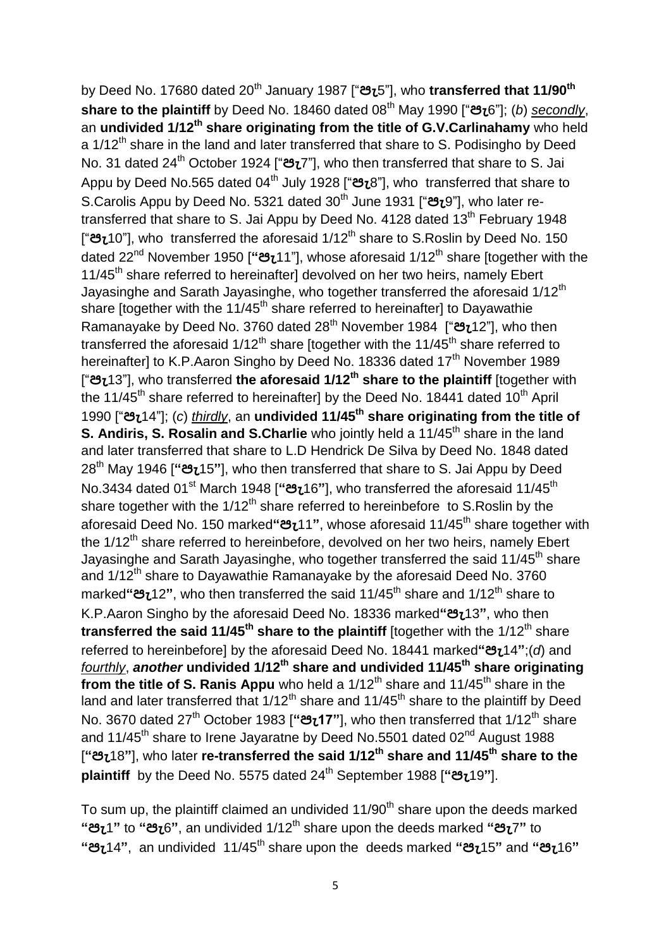by Deed No. 17680 dated 20th January 1987 ["**පැ**5"], who **transferred that 11/90th share to the plaintiff** by Deed No. 18460 dated 08th May 1990 ["**පැ**6"]; (*b*) *secondly*, an **undivided 1/12th share originating from the title of G.V.Carlinahamy** who held a 1/12<sup>th</sup> share in the land and later transferred that share to S. Podisingho by Deed No. 31 dated 24th October 1924 ["**පැ**7"], who then transferred that share to S. Jai Appu by Deed No.565 dated 04th July 1928 ["**පැ**8"], who transferred that share to S.Carolis Appu by Deed No. 5321 dated 30th June 1931 ["**පැ**9"], who later retransferred that share to S. Jai Appu by Deed No. 4128 dated 13<sup>th</sup> February 1948 ["පැ10"], who transferred the aforesaid 1/12<sup>th</sup> share to S.Roslin by Deed No. 150 dated 22<sup>nd</sup> November 1950 ["**පැ**11"], whose aforesaid 1/12<sup>th</sup> share [together with the 11/45<sup>th</sup> share referred to hereinafter] devolved on her two heirs, namely Ebert Jayasinghe and Sarath Jayasinghe, who together transferred the aforesaid 1/12<sup>th</sup> share [together with the  $11/45<sup>th</sup>$  share referred to hereinafter] to Dayawathie Ramanayake by Deed No. 3760 dated 28th November 1984 ["**පැ**12"], who then transferred the aforesaid  $1/12<sup>th</sup>$  share [together with the 11/45<sup>th</sup> share referred to hereinafter] to K.P.Aaron Singho by Deed No. 18336 dated 17<sup>th</sup> November 1989 ["**පැ**13"], who transferred **the aforesaid 1/12th share to the plaintiff** [together with the 11/45<sup>th</sup> share referred to hereinafter] by the Deed No. 18441 dated 10<sup>th</sup> April 1990 ["**පැ**14"]; (*c*) *thirdly*, an **undivided 11/45th share originating from the title of S. Andiris, S. Rosalin and S. Charlie** who jointly held a 11/45<sup>th</sup> share in the land and later transferred that share to L.D Hendrick De Silva by Deed No. 1848 dated 28th May 1946 [**"පැ**15**"**], who then transferred that share to S. Jai Appu by Deed No.3434 dated 01st March 1948 [**"පැ**16**"**], who transferred the aforesaid 11/45th share together with the  $1/12^{th}$  share referred to hereinbefore to S.Roslin by the aforesaid Deed No. 150 marked**"පැ**11**"**, whose aforesaid 11/45th share together with the 1/12<sup>th</sup> share referred to hereinbefore, devolved on her two heirs, namely Ebert Jayasinghe and Sarath Jayasinghe, who together transferred the said 11/45<sup>th</sup> share and 1/12<sup>th</sup> share to Dayawathie Ramanayake by the aforesaid Deed No. 3760 marked"**පැ**12", who then transferred the said 11/45<sup>th</sup> share and 1/12<sup>th</sup> share to K.P.Aaron Singho by the aforesaid Deed No. 18336 marked**"පැ**13**"**, who then **transferred the said 11/45<sup>th</sup> share to the plaintiff** [together with the 1/12<sup>th</sup> share referred to hereinbefore] by the aforesaid Deed No. 18441 marked**"පැ**14**"**;(*d*) and *fourthly*, *another* **undivided 1/12th share and undivided 11/45th share originating from the title of S. Ranis Appu** who held a 1/12<sup>th</sup> share and 11/45<sup>th</sup> share in the land and later transferred that  $1/12<sup>th</sup>$  share and  $11/45<sup>th</sup>$  share to the plaintiff by Deed No. 3670 dated 27th October 1983 [**"පැ17"**], who then transferred that 1/12th share and 11/45<sup>th</sup> share to Irene Jayaratne by Deed No.5501 dated 02<sup>nd</sup> August 1988 [**"පැ**18**"**], who later **re-transferred the said 1/12th share and 11/45th share to the plaintiff** by the Deed No. 5575 dated 24th September 1988 [**"පැ**19**"**].

To sum up, the plaintiff claimed an undivided  $11/90<sup>th</sup>$  share upon the deeds marked **"පැ**1**"** to **"පැ**6**"**, an undivided 1/12th share upon the deeds marked **"පැ**7**"** to **"පැ**14**"**, an undivided 11/45th share upon the deeds marked **"පැ**15**"** and **"පැ**16**"**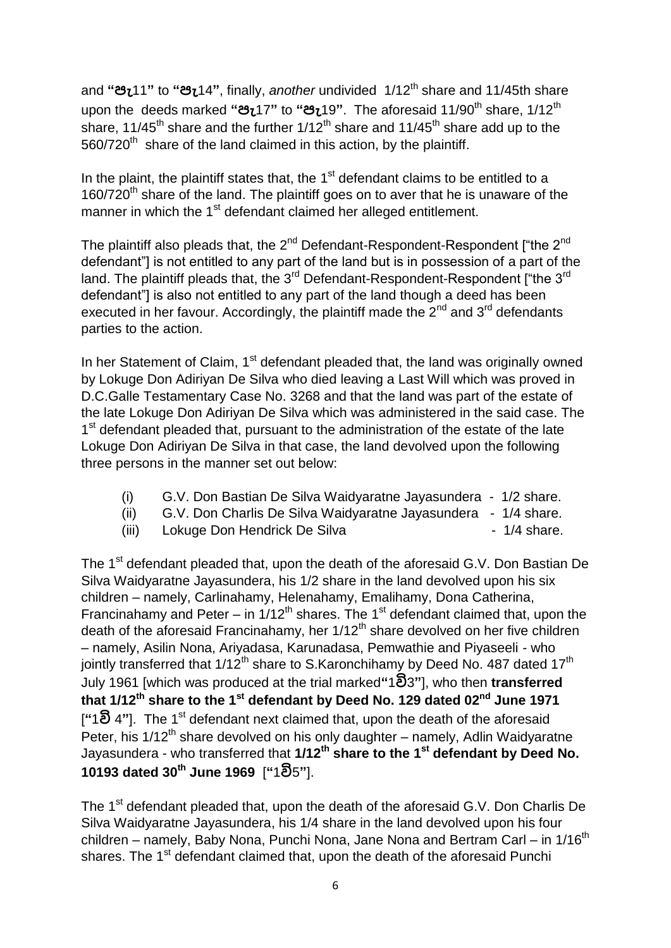and **"පැ**11**"** to **"පැ**14**"**, finally, *another* undivided 1/12th share and 11/45th share upon the deeds marked **"පැ**17**"** to **"පැ**19**"**. The aforesaid 11/90th share, 1/12th share, 11/45<sup>th</sup> share and the further  $1/12^{th}$  share and 11/45<sup>th</sup> share add up to the  $560/720<sup>th</sup>$  share of the land claimed in this action, by the plaintiff.

In the plaint, the plaintiff states that, the  $1<sup>st</sup>$  defendant claims to be entitled to a  $160/720<sup>th</sup>$  share of the land. The plaintiff goes on to aver that he is unaware of the manner in which the 1<sup>st</sup> defendant claimed her alleged entitlement.

The plaintiff also pleads that, the  $2^{nd}$  Defendant-Respondent-Respondent ["the  $2^{nd}$ defendant"] is not entitled to any part of the land but is in possession of a part of the land. The plaintiff pleads that, the 3<sup>rd</sup> Defendant-Respondent-Respondent ["the 3<sup>rd</sup> defendant"] is also not entitled to any part of the land though a deed has been executed in her favour. Accordingly, the plaintiff made the  $2<sup>nd</sup>$  and  $3<sup>rd</sup>$  defendants parties to the action.

In her Statement of Claim, 1<sup>st</sup> defendant pleaded that, the land was originally owned by Lokuge Don Adiriyan De Silva who died leaving a Last Will which was proved in D.C.Galle Testamentary Case No. 3268 and that the land was part of the estate of the late Lokuge Don Adiriyan De Silva which was administered in the said case. The 1<sup>st</sup> defendant pleaded that, pursuant to the administration of the estate of the late Lokuge Don Adiriyan De Silva in that case, the land devolved upon the following three persons in the manner set out below:

- (i) G.V. Don Bastian De Silva Waidyaratne Jayasundera 1/2 share.
- (ii) G.V. Don Charlis De Silva Waidyaratne Jayasundera 1/4 share.
- (iii) Lokuge Don Hendrick De Silva 1/4 share.

The 1<sup>st</sup> defendant pleaded that, upon the death of the aforesaid G.V. Don Bastian De Silva Waidyaratne Jayasundera, his 1/2 share in the land devolved upon his six children – namely, Carlinahamy, Helenahamy, Emalihamy, Dona Catherina, Francinahamy and Peter – in  $1/12^{th}$  shares. The 1<sup>st</sup> defendant claimed that, upon the death of the aforesaid Francinahamy, her 1/12<sup>th</sup> share devolved on her five children – namely, Asilin Nona, Ariyadasa, Karunadasa, Pemwathie and Piyaseeli - who jointly transferred that  $1/12^{th}$  share to S.Karonchihamy by Deed No. 487 dated  $17^{th}$ July 1961 [which was produced at the trial marked**"**1**වි**3**"**], who then **transferred that 1/12th share to the 1st defendant by Deed No. 129 dated 02nd June 1971** [**"**1**වි** 4**"**]. The 1st defendant next claimed that, upon the death of the aforesaid Peter, his  $1/12^{th}$  share devolved on his only daughter – namely, Adlin Waidyaratne Jayasundera - who transferred that **1/12th share to the 1st defendant by Deed No. 10193 dated 30th June 1969** [**"**1**වි**5**"**].

The 1<sup>st</sup> defendant pleaded that, upon the death of the aforesaid G.V. Don Charlis De Silva Waidyaratne Jayasundera, his 1/4 share in the land devolved upon his four children – namely, Baby Nona, Punchi Nona, Jane Nona and Bertram Carl – in  $1/16<sup>th</sup>$ shares. The 1<sup>st</sup> defendant claimed that, upon the death of the aforesaid Punchi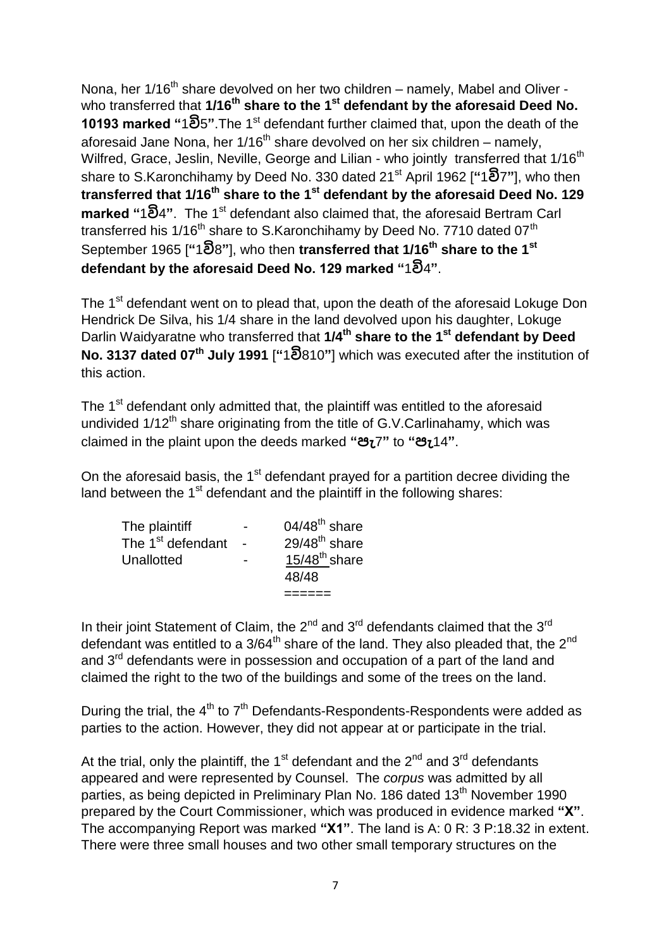Nona, her 1/16<sup>th</sup> share devolved on her two children – namely, Mabel and Oliver who transferred that **1/16<sup>th</sup> share to the 1<sup>st</sup> defendant by the aforesaid Deed No. 10193 marked "**1**වි**5**"**.The 1st defendant further claimed that, upon the death of the aforesaid Jane Nona, her  $1/16<sup>th</sup>$  share devolved on her six children – namely, Wilfred, Grace, Jeslin, Neville, George and Lilian - who jointly transferred that 1/16<sup>th</sup> share to S.Karonchihamy by Deed No. 330 dated 21st April 1962 [**"**1**වි**7**"**], who then **transferred that 1/16th share to the 1st defendant by the aforesaid Deed No. 129 marked "**1**වි**4**"**. The 1st defendant also claimed that, the aforesaid Bertram Carl transferred his 1/16<sup>th</sup> share to S.Karonchihamy by Deed No. 7710 dated 07<sup>th</sup> September 1965 [**"**1**වි**8**"**], who then **transferred that 1/16th share to the 1st defendant by the aforesaid Deed No. 129 marked "**1**වි**4**"**.

The 1<sup>st</sup> defendant went on to plead that, upon the death of the aforesaid Lokuge Don Hendrick De Silva, his 1/4 share in the land devolved upon his daughter, Lokuge Darlin Waidyaratne who transferred that **1/4th share to the 1st defendant by Deed No. 3137 dated 07th July 1991** [**"**1**වි**810**"**] which was executed after the institution of this action.

The 1<sup>st</sup> defendant only admitted that, the plaintiff was entitled to the aforesaid undivided  $1/12^{th}$  share originating from the title of G.V.Carlinahamy, which was claimed in the plaint upon the deeds marked **"පැ**7**"** to **"පැ**14**"**.

On the aforesaid basis, the  $1<sup>st</sup>$  defendant prayed for a partition decree dividing the land between the 1<sup>st</sup> defendant and the plaintiff in the following shares:

|                               | 48/48              |
|-------------------------------|--------------------|
| Unallotted                    | $15/48^{th}$ share |
| The 1 <sup>st</sup> defendant | $29/48^{th}$ share |
| The plaintiff                 | $04/48^{th}$ share |

In their joint Statement of Claim, the  $2^{nd}$  and  $3^{rd}$  defendants claimed that the  $3^{rd}$ defendant was entitled to a  $3/64^{\text{th}}$  share of the land. They also pleaded that, the  $2^{\text{nd}}$ and 3<sup>rd</sup> defendants were in possession and occupation of a part of the land and claimed the right to the two of the buildings and some of the trees on the land.

During the trial, the  $4<sup>th</sup>$  to  $7<sup>th</sup>$  Defendants-Respondents-Respondents were added as parties to the action. However, they did not appear at or participate in the trial.

At the trial, only the plaintiff, the 1<sup>st</sup> defendant and the  $2^{nd}$  and  $3^{rd}$  defendants appeared and were represented by Counsel. The *corpus* was admitted by all parties, as being depicted in Preliminary Plan No. 186 dated 13<sup>th</sup> November 1990 prepared by the Court Commissioner, which was produced in evidence marked **"X"**. The accompanying Report was marked **"X1"**. The land is A: 0 R: 3 P:18.32 in extent. There were three small houses and two other small temporary structures on the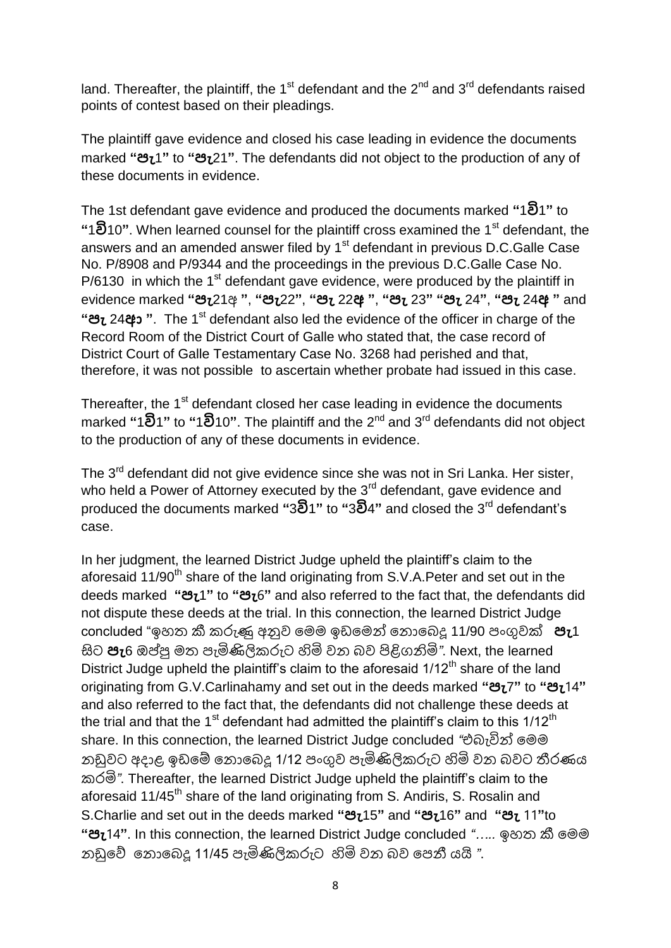land. Thereafter, the plaintiff, the 1<sup>st</sup> defendant and the 2<sup>nd</sup> and 3<sup>rd</sup> defendants raised points of contest based on their pleadings.

The plaintiff gave evidence and closed his case leading in evidence the documents marked **"පැ**1**"** to **"පැ**21**"**. The defendants did not object to the production of any of these documents in evidence.

The 1st defendant gave evidence and produced the documents marked **"**1**වි**1**"** to **"**1**වි**10**"**. When learned counsel for the plaintiff cross examined the 1st defendant, the answers and an amended answer filed by  $1<sup>st</sup>$  defendant in previous D.C.Galle Case No. P/8908 and P/9344 and the proceedings in the previous D.C.Galle Case No. P/6130 in which the  $1<sup>st</sup>$  defendant gave evidence, were produced by the plaintiff in evidence marked **"පැ**21අ **"**, **"පැ**22**"**, **"පැ** 22**අ "**, **"පැ** 23**" "පැ** 24**"**, **"පැ** 24**අ "** and **"පැ** 24**ආ "**. The 1st defendant also led the evidence of the officer in charge of the Record Room of the District Court of Galle who stated that, the case record of District Court of Galle Testamentary Case No. 3268 had perished and that, therefore, it was not possible to ascertain whether probate had issued in this case.

Thereafter, the 1<sup>st</sup> defendant closed her case leading in evidence the documents marked **"**1**වි**1**"** to **"**1**වි**10**"**. The plaintiff and the 2nd and 3rd defendants did not object to the production of any of these documents in evidence.

The 3<sup>rd</sup> defendant did not give evidence since she was not in Sri Lanka. Her sister, who held a Power of Attorney executed by the 3<sup>rd</sup> defendant, gave evidence and produced the documents marked **"**3**වි**1**"** to **"**3**වි**4**"** and closed the 3rd defendant's case.

In her judgment, the learned District Judge upheld the plaintiff's claim to the aforesaid 11/90<sup>th</sup> share of the land originating from S.V.A.Peter and set out in the deeds marked **"පැ**1**"** to **"පැ**6**"** and also referred to the fact that, the defendants did not dispute these deeds at the trial. In this connection, the learned District Judge concluded "ඉහත කී කරුණු අනුව මෙෙ ඉඩමෙන් ම ොමෙදූ 11/90 පංගුවක් **පැ**1 සිට **පැ**6 ඔප්පු මත පැමිණිලිකරුට හිමි වන බව පිළිගනිමි". Next, the learned District Judge upheld the plaintiff's claim to the aforesaid  $1/12<sup>th</sup>$  share of the land originating from G.V.Carlinahamy and set out in the deeds marked **"පැ**7**"** to **"පැ**14**"**  and also referred to the fact that, the defendants did not challenge these deeds at the trial and that the 1<sup>st</sup> defendant had admitted the plaintiff's claim to this  $1/12<sup>th</sup>$ share. In this connection, the learned District Judge concluded *"*එබැවින් මෙම නඩුවට අදාළ ඉඩමේ නොබෙදූ 1/12 පංගුව පැමිණිලිකරුට හිමි වන බවට තීරණය කරමි*"*. Thereafter, the learned District Judge upheld the plaintiff's claim to the aforesaid 11/45<sup>th</sup> share of the land originating from S. Andiris, S. Rosalin and S.Charlie and set out in the deeds marked **"පැ**15**"** and **"පැ**16**"** and **"පැ** 11**"**to **"පැ**14**"**. In this connection, the learned District Judge concluded *"…..* ඉහත කී මෙෙ ඩුමේ ම ොමෙදූ 11/45 පැමිණිලිකරුට හිමි ව ෙව මපනී යයි *"*.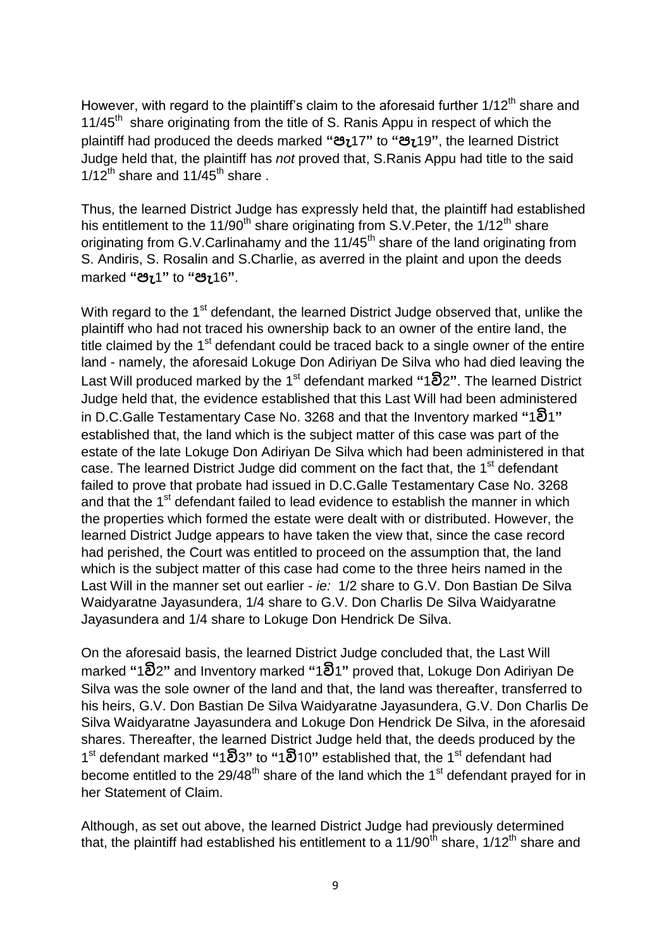However, with regard to the plaintiff's claim to the aforesaid further  $1/12<sup>th</sup>$  share and 11/45<sup>th</sup> share originating from the title of S. Ranis Appu in respect of which the plaintiff had produced the deeds marked **"පැ**17**"** to **"පැ**19**"**, the learned District Judge held that, the plaintiff has *not* proved that, S.Ranis Appu had title to the said  $1/12^{th}$  share and  $11/45^{th}$  share.

Thus, the learned District Judge has expressly held that, the plaintiff had established his entitlement to the 11/90<sup>th</sup> share originating from S.V. Peter, the 1/12<sup>th</sup> share originating from G.V.Carlinahamy and the  $11/45<sup>th</sup>$  share of the land originating from S. Andiris, S. Rosalin and S.Charlie, as averred in the plaint and upon the deeds marked **"පැ**1**"** to **"පැ**16**"**.

With regard to the 1<sup>st</sup> defendant, the learned District Judge observed that, unlike the plaintiff who had not traced his ownership back to an owner of the entire land, the title claimed by the  $1<sup>st</sup>$  defendant could be traced back to a single owner of the entire land - namely, the aforesaid Lokuge Don Adiriyan De Silva who had died leaving the Last Will produced marked by the 1st defendant marked **"**1**වි**2**"**. The learned District Judge held that, the evidence established that this Last Will had been administered in D.C.Galle Testamentary Case No. 3268 and that the Inventory marked **"**1**වි**1**"**  established that, the land which is the subject matter of this case was part of the estate of the late Lokuge Don Adiriyan De Silva which had been administered in that case. The learned District Judge did comment on the fact that, the 1<sup>st</sup> defendant failed to prove that probate had issued in D.C.Galle Testamentary Case No. 3268 and that the 1<sup>st</sup> defendant failed to lead evidence to establish the manner in which the properties which formed the estate were dealt with or distributed. However, the learned District Judge appears to have taken the view that, since the case record had perished, the Court was entitled to proceed on the assumption that, the land which is the subject matter of this case had come to the three heirs named in the Last Will in the manner set out earlier - *ie:* 1/2 share to G.V. Don Bastian De Silva Waidyaratne Jayasundera, 1/4 share to G.V. Don Charlis De Silva Waidyaratne Jayasundera and 1/4 share to Lokuge Don Hendrick De Silva.

On the aforesaid basis, the learned District Judge concluded that, the Last Will marked **"**1**වි**2**"** and Inventory marked **"**1**වි**1**"** proved that, Lokuge Don Adiriyan De Silva was the sole owner of the land and that, the land was thereafter, transferred to his heirs, G.V. Don Bastian De Silva Waidyaratne Jayasundera, G.V. Don Charlis De Silva Waidyaratne Jayasundera and Lokuge Don Hendrick De Silva, in the aforesaid shares. Thereafter, the learned District Judge held that, the deeds produced by the 1 st defendant marked **"**1**වි**3**"** to **"**1**වි**10**"** established that, the 1st defendant had become entitled to the  $29/48<sup>th</sup>$  share of the land which the 1<sup>st</sup> defendant prayed for in her Statement of Claim.

Although, as set out above, the learned District Judge had previously determined that, the plaintiff had established his entitlement to a 11/90<sup>th</sup> share, 1/12<sup>th</sup> share and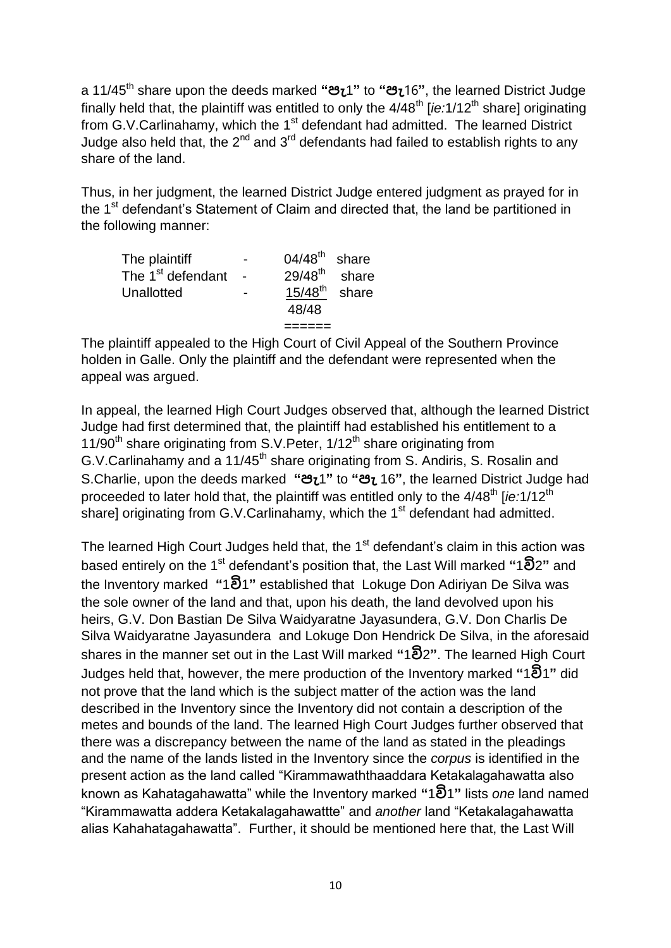a 11/45th share upon the deeds marked **"පැ**1**"** to **"පැ**16**"**, the learned District Judge finally held that, the plaintiff was entitled to only the 4/48<sup>th</sup> [*ie:*1/12<sup>th</sup> share] originating from G.V.Carlinahamy, which the 1<sup>st</sup> defendant had admitted. The learned District Judge also held that, the  $2^{nd}$  and  $3^{rd}$  defendants had failed to establish rights to any share of the land.

Thus, in her judgment, the learned District Judge entered judgment as prayed for in the 1<sup>st</sup> defendant's Statement of Claim and directed that, the land be partitioned in the following manner:

| The plaintiff<br>The 1 <sup>st</sup> defendant |        | $04/48^{th}$ share<br>$29/48^{\text{th}}$ share |  |
|------------------------------------------------|--------|-------------------------------------------------|--|
|                                                | $\sim$ |                                                 |  |
| Unallotted                                     |        | $15/48^{\text{th}}$ share                       |  |
|                                                |        | 48/48                                           |  |
|                                                |        |                                                 |  |

The plaintiff appealed to the High Court of Civil Appeal of the Southern Province holden in Galle. Only the plaintiff and the defendant were represented when the appeal was argued.

In appeal, the learned High Court Judges observed that, although the learned District Judge had first determined that, the plaintiff had established his entitlement to a 11/90<sup>th</sup> share originating from S.V. Peter,  $1/12^{th}$  share originating from G.V.Carlinahamy and a  $11/45<sup>th</sup>$  share originating from S. Andiris, S. Rosalin and S.Charlie, upon the deeds marked **"පැ**1**"** to **"පැ** 16**"**, the learned District Judge had proceeded to later hold that, the plaintiff was entitled only to the 4/48<sup>th</sup> [*ie:*1/12<sup>th</sup> share] originating from G.V.Carlinahamy, which the  $1<sup>st</sup>$  defendant had admitted.

The learned High Court Judges held that, the 1<sup>st</sup> defendant's claim in this action was based entirely on the 1st defendant's position that, the Last Will marked **"**1**වි**2**"** and the Inventory marked **"**1**වි**1**"** established that Lokuge Don Adiriyan De Silva was the sole owner of the land and that, upon his death, the land devolved upon his heirs, G.V. Don Bastian De Silva Waidyaratne Jayasundera, G.V. Don Charlis De Silva Waidyaratne Jayasundera and Lokuge Don Hendrick De Silva, in the aforesaid shares in the manner set out in the Last Will marked **"**1**වි**2**"**. The learned High Court Judges held that, however, the mere production of the Inventory marked **"**1**වි**1**"** did not prove that the land which is the subject matter of the action was the land described in the Inventory since the Inventory did not contain a description of the metes and bounds of the land. The learned High Court Judges further observed that there was a discrepancy between the name of the land as stated in the pleadings and the name of the lands listed in the Inventory since the *corpus* is identified in the present action as the land called "Kirammawaththaaddara Ketakalagahawatta also known as Kahatagahawatta" while the Inventory marked **"**1**වි**1**"** lists *one* land named "Kirammawatta addera Ketakalagahawattte" and *another* land "Ketakalagahawatta alias Kahahatagahawatta". Further, it should be mentioned here that, the Last Will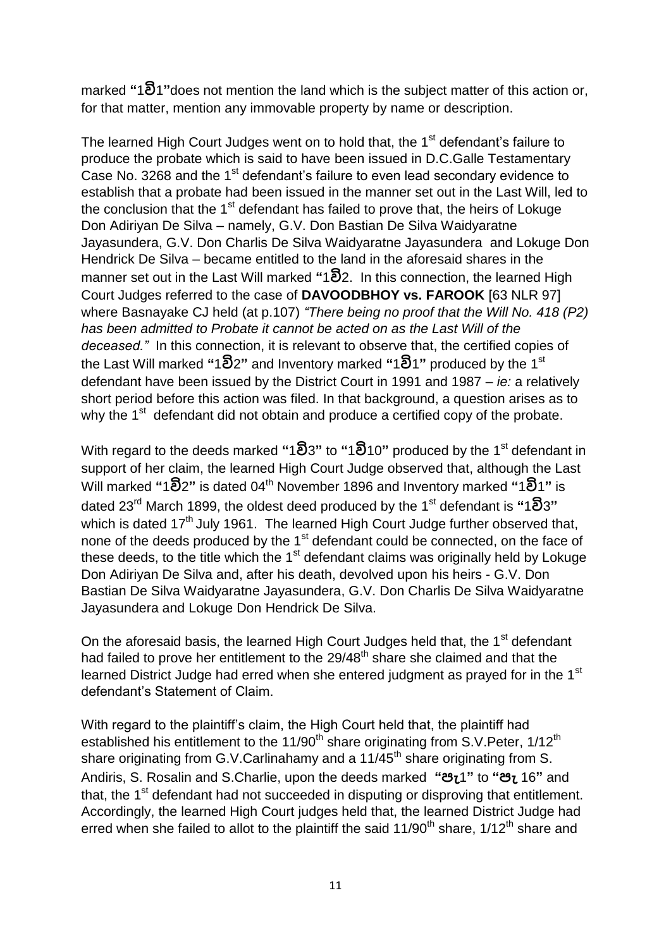marked **"**1**වි**1**"**does not mention the land which is the subject matter of this action or, for that matter, mention any immovable property by name or description.

The learned High Court Judges went on to hold that, the 1<sup>st</sup> defendant's failure to produce the probate which is said to have been issued in D.C.Galle Testamentary Case No. 3268 and the 1<sup>st</sup> defendant's failure to even lead secondary evidence to establish that a probate had been issued in the manner set out in the Last Will, led to the conclusion that the  $1<sup>st</sup>$  defendant has failed to prove that, the heirs of Lokuge Don Adiriyan De Silva – namely, G.V. Don Bastian De Silva Waidyaratne Jayasundera, G.V. Don Charlis De Silva Waidyaratne Jayasundera and Lokuge Don Hendrick De Silva – became entitled to the land in the aforesaid shares in the manner set out in the Last Will marked **"**1**වි**2. In this connection, the learned High Court Judges referred to the case of **DAVOODBHOY vs. FAROOK** [63 NLR 97] where Basnayake CJ held (at p.107) *"There being no proof that the Will No. 418 (P2) has been admitted to Probate it cannot be acted on as the Last Will of the deceased."* In this connection, it is relevant to observe that, the certified copies of the Last Will marked **"**1**වි**2**"** and Inventory marked **"**1**වි**1**"** produced by the 1st defendant have been issued by the District Court in 1991 and 1987 – *ie:* a relatively short period before this action was filed. In that background, a question arises as to why the 1<sup>st</sup> defendant did not obtain and produce a certified copy of the probate.

With regard to the deeds marked **"**1**වි**3**"** to **"**1**වි**10**"** produced by the 1st defendant in support of her claim, the learned High Court Judge observed that, although the Last Will marked **"**1**වි**2**"** is dated 04th November 1896 and Inventory marked **"**1**වි**1**"** is dated 23rd March 1899, the oldest deed produced by the 1st defendant is **"**1**වි**3**"** which is dated 17<sup>th</sup> July 1961. The learned High Court Judge further observed that. none of the deeds produced by the 1<sup>st</sup> defendant could be connected, on the face of these deeds, to the title which the  $1<sup>st</sup>$  defendant claims was originally held by Lokuge Don Adiriyan De Silva and, after his death, devolved upon his heirs - G.V. Don Bastian De Silva Waidyaratne Jayasundera, G.V. Don Charlis De Silva Waidyaratne Jayasundera and Lokuge Don Hendrick De Silva.

On the aforesaid basis, the learned High Court Judges held that, the 1<sup>st</sup> defendant had failed to prove her entitlement to the 29/48<sup>th</sup> share she claimed and that the learned District Judge had erred when she entered judgment as prayed for in the 1<sup>st</sup> defendant's Statement of Claim.

With regard to the plaintiff's claim, the High Court held that, the plaintiff had established his entitlement to the  $11/90<sup>th</sup>$  share originating from S.V. Peter,  $1/12<sup>th</sup>$ share originating from G.V.Carlinahamy and a  $11/\tilde{4}5^{\text{th}}$  share originating from S. Andiris, S. Rosalin and S.Charlie, upon the deeds marked **"පැ**1**"** to **"පැ** 16**"** and that, the 1<sup>st</sup> defendant had not succeeded in disputing or disproving that entitlement. Accordingly, the learned High Court judges held that, the learned District Judge had erred when she failed to allot to the plaintiff the said  $11/90<sup>th</sup>$  share,  $1/12<sup>th</sup>$  share and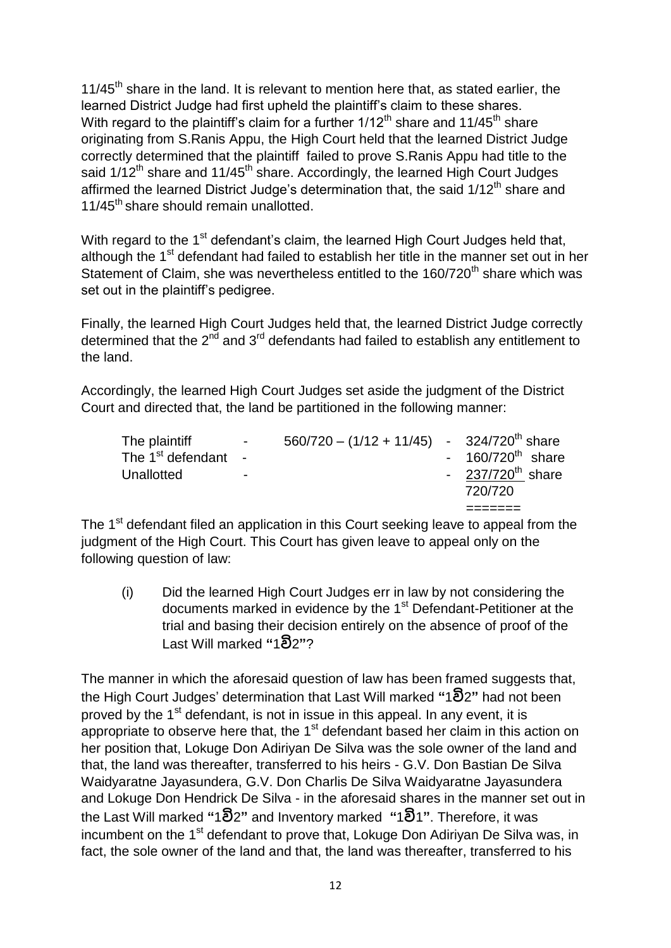$11/45<sup>th</sup>$  share in the land. It is relevant to mention here that, as stated earlier, the learned District Judge had first upheld the plaintiff's claim to these shares. With regard to the plaintiff's claim for a further  $1/12<sup>th</sup>$  share and  $11/45<sup>th</sup>$  share originating from S.Ranis Appu, the High Court held that the learned District Judge correctly determined that the plaintiff failed to prove S.Ranis Appu had title to the said  $1/12<sup>th</sup>$  share and  $11/45<sup>th</sup>$  share. Accordingly, the learned High Court Judges affirmed the learned District Judge's determination that, the said  $1/12<sup>th</sup>$  share and 11/45<sup>th</sup> share should remain unallotted.

With regard to the 1<sup>st</sup> defendant's claim, the learned High Court Judges held that, although the 1<sup>st</sup> defendant had failed to establish her title in the manner set out in her Statement of Claim, she was nevertheless entitled to the 160/720<sup>th</sup> share which was set out in the plaintiff's pedigree.

Finally, the learned High Court Judges held that, the learned District Judge correctly determined that the  $2^{nd}$  and  $3^{rd}$  defendants had failed to establish any entitlement to the land.

Accordingly, the learned High Court Judges set aside the judgment of the District Court and directed that, the land be partitioned in the following manner:

|                               |                          |                                                          | 720/720                        |
|-------------------------------|--------------------------|----------------------------------------------------------|--------------------------------|
| Unallotted                    | $\overline{\phantom{0}}$ |                                                          | - $237/720^{th}$ share         |
| The 1 <sup>st</sup> defendant |                          |                                                          | $-160/720$ <sup>th</sup> share |
| The plaintiff                 | $\sim 100$               | $560/720 - (1/12 + 11/45)$ - 324/720 <sup>th</sup> share |                                |

The 1<sup>st</sup> defendant filed an application in this Court seeking leave to appeal from the judgment of the High Court. This Court has given leave to appeal only on the following question of law:

(i) Did the learned High Court Judges err in law by not considering the documents marked in evidence by the 1<sup>st</sup> Defendant-Petitioner at the trial and basing their decision entirely on the absence of proof of the Last Will marked **"**1**වි**2**"**?

The manner in which the aforesaid question of law has been framed suggests that, the High Court Judges' determination that Last Will marked **"**1**වි**2**"** had not been proved by the 1<sup>st</sup> defendant, is not in issue in this appeal. In any event, it is appropriate to observe here that, the  $1<sup>st</sup>$  defendant based her claim in this action on her position that, Lokuge Don Adiriyan De Silva was the sole owner of the land and that, the land was thereafter, transferred to his heirs - G.V. Don Bastian De Silva Waidyaratne Jayasundera, G.V. Don Charlis De Silva Waidyaratne Jayasundera and Lokuge Don Hendrick De Silva - in the aforesaid shares in the manner set out in the Last Will marked **"**1**වි**2**"** and Inventory marked **"**1**වි**1**"**. Therefore, it was incumbent on the 1<sup>st</sup> defendant to prove that, Lokuge Don Adiriyan De Silva was, in fact, the sole owner of the land and that, the land was thereafter, transferred to his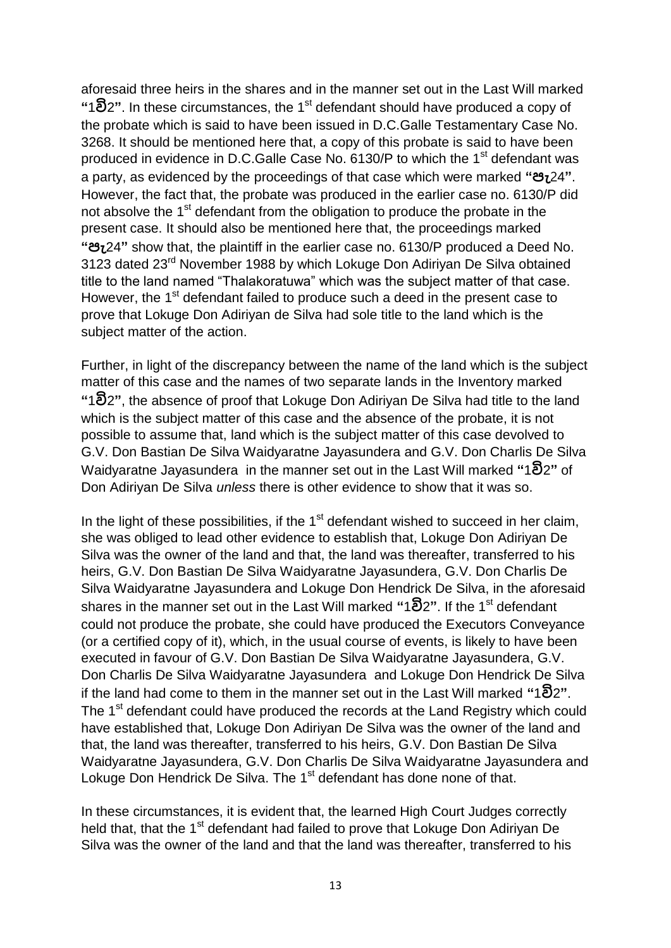aforesaid three heirs in the shares and in the manner set out in the Last Will marked **"**1**වි**2**"**. In these circumstances, the 1st defendant should have produced a copy of the probate which is said to have been issued in D.C.Galle Testamentary Case No. 3268. It should be mentioned here that, a copy of this probate is said to have been produced in evidence in D.C.Galle Case No. 6130/P to which the 1<sup>st</sup> defendant was a party, as evidenced by the proceedings of that case which were marked **"පැ**24**"**. However, the fact that, the probate was produced in the earlier case no. 6130/P did not absolve the 1<sup>st</sup> defendant from the obligation to produce the probate in the present case. It should also be mentioned here that, the proceedings marked **"පැ**24**"** show that, the plaintiff in the earlier case no. 6130/P produced a Deed No. 3123 dated 23rd November 1988 by which Lokuge Don Adiriyan De Silva obtained title to the land named "Thalakoratuwa" which was the subject matter of that case. However, the 1<sup>st</sup> defendant failed to produce such a deed in the present case to prove that Lokuge Don Adiriyan de Silva had sole title to the land which is the subject matter of the action.

Further, in light of the discrepancy between the name of the land which is the subject matter of this case and the names of two separate lands in the Inventory marked **"**1**වි**2**"**, the absence of proof that Lokuge Don Adiriyan De Silva had title to the land which is the subject matter of this case and the absence of the probate, it is not possible to assume that, land which is the subject matter of this case devolved to G.V. Don Bastian De Silva Waidyaratne Jayasundera and G.V. Don Charlis De Silva Waidyaratne Jayasundera in the manner set out in the Last Will marked **"**1**වි**2**"** of Don Adiriyan De Silva *unless* there is other evidence to show that it was so.

In the light of these possibilities, if the  $1<sup>st</sup>$  defendant wished to succeed in her claim, she was obliged to lead other evidence to establish that, Lokuge Don Adiriyan De Silva was the owner of the land and that, the land was thereafter, transferred to his heirs, G.V. Don Bastian De Silva Waidyaratne Jayasundera, G.V. Don Charlis De Silva Waidyaratne Jayasundera and Lokuge Don Hendrick De Silva, in the aforesaid shares in the manner set out in the Last Will marked **"**1**වි**2**"**. If the 1st defendant could not produce the probate, she could have produced the Executors Conveyance (or a certified copy of it), which, in the usual course of events, is likely to have been executed in favour of G.V. Don Bastian De Silva Waidyaratne Jayasundera, G.V. Don Charlis De Silva Waidyaratne Jayasundera and Lokuge Don Hendrick De Silva if the land had come to them in the manner set out in the Last Will marked **"**1**වි**2**"**. The 1<sup>st</sup> defendant could have produced the records at the Land Registry which could have established that, Lokuge Don Adiriyan De Silva was the owner of the land and that, the land was thereafter, transferred to his heirs, G.V. Don Bastian De Silva Waidyaratne Jayasundera, G.V. Don Charlis De Silva Waidyaratne Jayasundera and Lokuge Don Hendrick De Silva. The 1<sup>st</sup> defendant has done none of that.

In these circumstances, it is evident that, the learned High Court Judges correctly held that, that the 1<sup>st</sup> defendant had failed to prove that Lokuge Don Adiriyan De Silva was the owner of the land and that the land was thereafter, transferred to his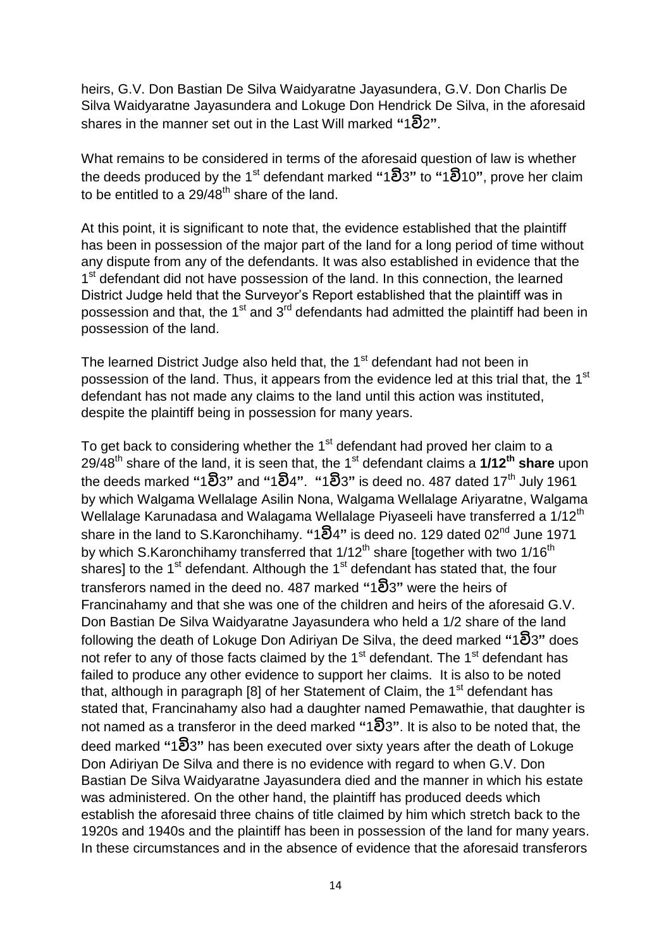heirs, G.V. Don Bastian De Silva Waidyaratne Jayasundera, G.V. Don Charlis De Silva Waidyaratne Jayasundera and Lokuge Don Hendrick De Silva, in the aforesaid shares in the manner set out in the Last Will marked **"**1**වි**2**"**.

What remains to be considered in terms of the aforesaid question of law is whether the deeds produced by the 1st defendant marked **"**1**වි**3**"** to **"**1**වි**10**"**, prove her claim to be entitled to a  $29/48^{\text{th}}$  share of the land.

At this point, it is significant to note that, the evidence established that the plaintiff has been in possession of the major part of the land for a long period of time without any dispute from any of the defendants. It was also established in evidence that the 1<sup>st</sup> defendant did not have possession of the land. In this connection, the learned District Judge held that the Surveyor's Report established that the plaintiff was in possession and that, the  $1<sup>st</sup>$  and  $3<sup>rd</sup>$  defendants had admitted the plaintiff had been in possession of the land.

The learned District Judge also held that, the 1<sup>st</sup> defendant had not been in possession of the land. Thus, it appears from the evidence led at this trial that, the 1<sup>st</sup> defendant has not made any claims to the land until this action was instituted, despite the plaintiff being in possession for many years.

To get back to considering whether the 1<sup>st</sup> defendant had proved her claim to a 29/48th share of the land, it is seen that, the 1st defendant claims a **1/12th share** upon the deeds marked **"**1**වි**3**"** and **"**1**වි**4**"**. **"**1**වි**3**"** is deed no. 487 dated 17th July 1961 by which Walgama Wellalage Asilin Nona, Walgama Wellalage Ariyaratne, Walgama Wellalage Karunadasa and Walagama Wellalage Piyaseeli have transferred a 1/12<sup>th</sup> share in the land to S.Karonchihamy. **"**1**වි**4**"** is deed no. 129 dated 02nd June 1971 by which S.Karonchihamy transferred that  $1/12^{th}$  share [together with two  $1/16^{th}$ ] shares] to the 1<sup>st</sup> defendant. Although the 1<sup>st</sup> defendant has stated that, the four transferors named in the deed no. 487 marked **"**1**වි**3**"** were the heirs of Francinahamy and that she was one of the children and heirs of the aforesaid G.V. Don Bastian De Silva Waidyaratne Jayasundera who held a 1/2 share of the land following the death of Lokuge Don Adiriyan De Silva, the deed marked **"**1**වි**3**"** does not refer to any of those facts claimed by the  $1<sup>st</sup>$  defendant. The  $1<sup>st</sup>$  defendant has failed to produce any other evidence to support her claims. It is also to be noted that, although in paragraph [8] of her Statement of Claim, the  $1<sup>st</sup>$  defendant has stated that, Francinahamy also had a daughter named Pemawathie, that daughter is not named as a transferor in the deed marked **"**1**වි**3**"**. It is also to be noted that, the deed marked **"**1**වි**3**"** has been executed over sixty years after the death of Lokuge Don Adiriyan De Silva and there is no evidence with regard to when G.V. Don Bastian De Silva Waidyaratne Jayasundera died and the manner in which his estate was administered. On the other hand, the plaintiff has produced deeds which establish the aforesaid three chains of title claimed by him which stretch back to the 1920s and 1940s and the plaintiff has been in possession of the land for many years. In these circumstances and in the absence of evidence that the aforesaid transferors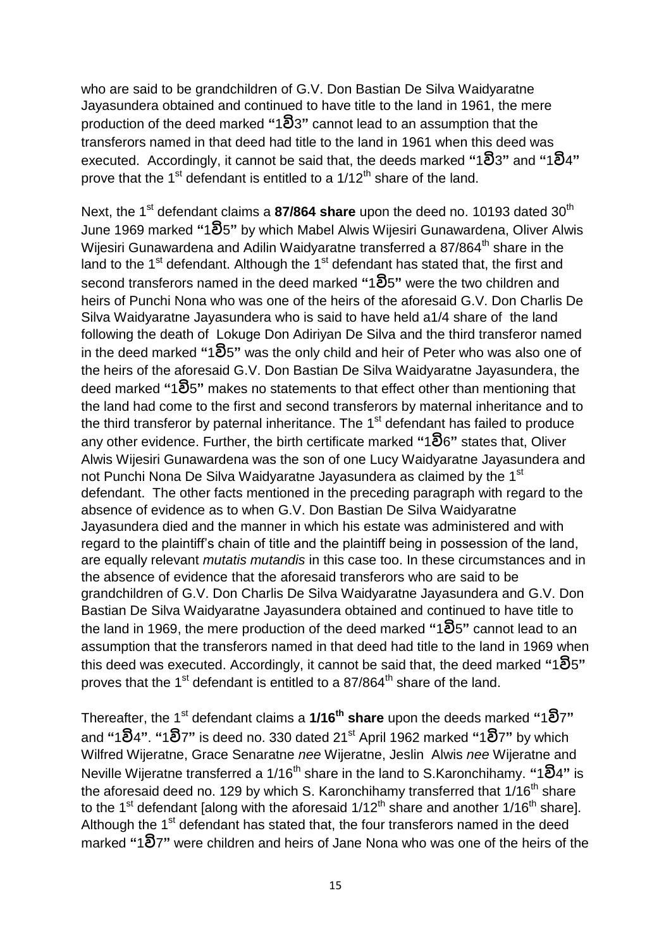who are said to be grandchildren of G.V. Don Bastian De Silva Waidyaratne Jayasundera obtained and continued to have title to the land in 1961, the mere production of the deed marked **"**1**වි**3**"** cannot lead to an assumption that the transferors named in that deed had title to the land in 1961 when this deed was executed. Accordingly, it cannot be said that, the deeds marked **"**1**වි**3**"** and **"**1**වි**4**"**  prove that the 1<sup>st</sup> defendant is entitled to a  $1/12<sup>th</sup>$  share of the land.

Next, the 1<sup>st</sup> defendant claims a **87/864 share** upon the deed no. 10193 dated 30<sup>th</sup> June 1969 marked **"**1**වි**5**"** by which Mabel Alwis Wijesiri Gunawardena, Oliver Alwis Wijesiri Gunawardena and Adilin Waidyaratne transferred a 87/864<sup>th</sup> share in the land to the  $1<sup>st</sup>$  defendant. Although the  $1<sup>st</sup>$  defendant has stated that, the first and second transferors named in the deed marked **"**1**වි**5**"** were the two children and heirs of Punchi Nona who was one of the heirs of the aforesaid G.V. Don Charlis De Silva Waidyaratne Jayasundera who is said to have held a1/4 share of the land following the death of Lokuge Don Adiriyan De Silva and the third transferor named in the deed marked **"**1**වි**5**"** was the only child and heir of Peter who was also one of the heirs of the aforesaid G.V. Don Bastian De Silva Waidyaratne Jayasundera, the deed marked **"**1**වි**5**"** makes no statements to that effect other than mentioning that the land had come to the first and second transferors by maternal inheritance and to the third transferor by paternal inheritance. The 1<sup>st</sup> defendant has failed to produce any other evidence. Further, the birth certificate marked **"**1**වි**6**"** states that, Oliver Alwis Wijesiri Gunawardena was the son of one Lucy Waidyaratne Jayasundera and not Punchi Nona De Silva Waidyaratne Jayasundera as claimed by the 1<sup>st</sup> defendant. The other facts mentioned in the preceding paragraph with regard to the absence of evidence as to when G.V. Don Bastian De Silva Waidyaratne Jayasundera died and the manner in which his estate was administered and with regard to the plaintiff's chain of title and the plaintiff being in possession of the land, are equally relevant *mutatis mutandis* in this case too. In these circumstances and in the absence of evidence that the aforesaid transferors who are said to be grandchildren of G.V. Don Charlis De Silva Waidyaratne Jayasundera and G.V. Don Bastian De Silva Waidyaratne Jayasundera obtained and continued to have title to the land in 1969, the mere production of the deed marked **"**1**වි**5**"** cannot lead to an assumption that the transferors named in that deed had title to the land in 1969 when this deed was executed. Accordingly, it cannot be said that, the deed marked **"**1**වි**5**"**  proves that the 1<sup>st</sup> defendant is entitled to a 87/864<sup>th</sup> share of the land.

Thereafter, the 1st defendant claims a **1/16th share** upon the deeds marked **"**1**වි**7**"**  and **"**1**වි**4**"**. **"**1**වි**7**"** is deed no. 330 dated 21st April 1962 marked **"**1**වි**7**"** by which Wilfred Wijeratne, Grace Senaratne *nee* Wijeratne, Jeslin Alwis *nee* Wijeratne and Neville Wijeratne transferred a 1/16th share in the land to S.Karonchihamy. **"**1**වි**4**"** is the aforesaid deed no. 129 by which S. Karonchihamy transferred that  $1/16<sup>th</sup>$  share to the 1<sup>st</sup> defendant [along with the aforesaid  $1/12<sup>th</sup>$  share and another  $1/16<sup>th</sup>$  share]. Although the 1<sup>st</sup> defendant has stated that, the four transferors named in the deed marked **"**1**වි**7**"** were children and heirs of Jane Nona who was one of the heirs of the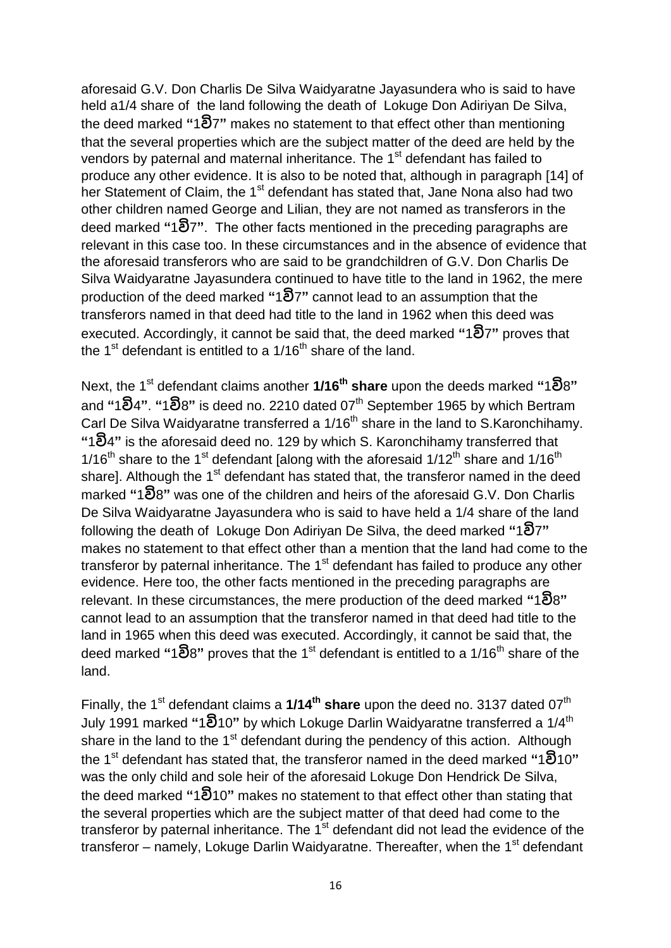aforesaid G.V. Don Charlis De Silva Waidyaratne Jayasundera who is said to have held a1/4 share of the land following the death of Lokuge Don Adiriyan De Silva, the deed marked **"**1**වි**7**"** makes no statement to that effect other than mentioning that the several properties which are the subject matter of the deed are held by the vendors by paternal and maternal inheritance. The 1<sup>st</sup> defendant has failed to produce any other evidence. It is also to be noted that, although in paragraph [14] of her Statement of Claim, the 1<sup>st</sup> defendant has stated that, Jane Nona also had two other children named George and Lilian, they are not named as transferors in the deed marked **"**1**වි**7**"**. The other facts mentioned in the preceding paragraphs are relevant in this case too. In these circumstances and in the absence of evidence that the aforesaid transferors who are said to be grandchildren of G.V. Don Charlis De Silva Waidyaratne Jayasundera continued to have title to the land in 1962, the mere production of the deed marked **"**1**වි**7**"** cannot lead to an assumption that the transferors named in that deed had title to the land in 1962 when this deed was executed. Accordingly, it cannot be said that, the deed marked **"**1**වි**7**"** proves that the 1<sup>st</sup> defendant is entitled to a 1/16<sup>th</sup> share of the land.

Next, the 1st defendant claims another **1/16th share** upon the deeds marked **"**1**වි**8**"**  and **"**1**වි**4**"**. **"**1**වි**8**"** is deed no. 2210 dated 07th September 1965 by which Bertram Carl De Silva Waidyaratne transferred a 1/16<sup>th</sup> share in the land to S.Karonchihamy. **"**1**වි**4**"** is the aforesaid deed no. 129 by which S. Karonchihamy transferred that 1/16<sup>th</sup> share to the 1<sup>st</sup> defendant [along with the aforesaid  $1/12^{th}$  share and  $1/16^{th}$ share]. Although the 1<sup>st</sup> defendant has stated that, the transferor named in the deed marked **"**1**වි**8**"** was one of the children and heirs of the aforesaid G.V. Don Charlis De Silva Waidyaratne Jayasundera who is said to have held a 1/4 share of the land following the death of Lokuge Don Adiriyan De Silva, the deed marked **"**1**වි**7**"** makes no statement to that effect other than a mention that the land had come to the transferor by paternal inheritance. The  $1<sup>st</sup>$  defendant has failed to produce any other evidence. Here too, the other facts mentioned in the preceding paragraphs are relevant. In these circumstances, the mere production of the deed marked **"**1**වි**8**"** cannot lead to an assumption that the transferor named in that deed had title to the land in 1965 when this deed was executed. Accordingly, it cannot be said that, the deed marked **"**1**වි**8**"** proves that the 1 st defendant is entitled to a 1/16th share of the land.

Finally, the 1<sup>st</sup> defendant claims a 1/14<sup>th</sup> share upon the deed no. 3137 dated 07<sup>th</sup> July 1991 marked **"**1**වි**10**"** by which Lokuge Darlin Waidyaratne transferred a 1/4th share in the land to the  $1<sup>st</sup>$  defendant during the pendency of this action. Although the 1st defendant has stated that, the transferor named in the deed marked **"**1**වි**10**"**  was the only child and sole heir of the aforesaid Lokuge Don Hendrick De Silva, the deed marked **"**1**වි**10**"** makes no statement to that effect other than stating that the several properties which are the subject matter of that deed had come to the transferor by paternal inheritance. The  $1<sup>st</sup>$  defendant did not lead the evidence of the transferor – namely, Lokuge Darlin Waidyaratne. Thereafter, when the  $1<sup>st</sup>$  defendant